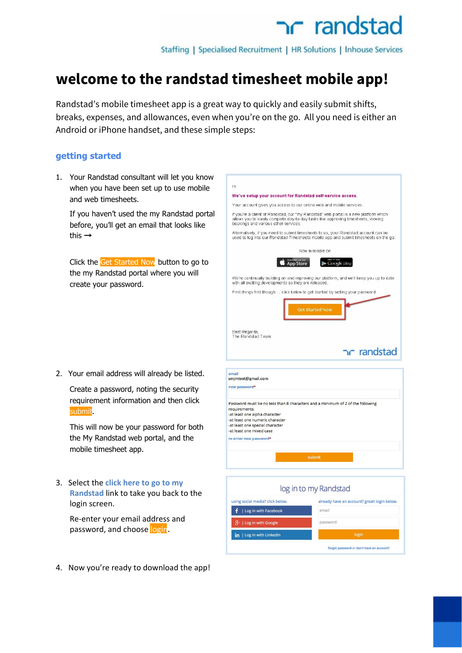Staffing | Specialised Recruitment | HR Solutions | Inhouse Services

### **welcome to the randstad timesheet mobile app!**

Randstad's mobile timesheet app is a great way to quickly and easily submit shifts, breaks, expenses, and allowances, even when you're on the go. All you need is either an Android or iPhone handset, and these simple steps:

#### **getting started**

1. Your Randstad consultant will let you know when you have been set up to use mobile and web timesheets.

If you haven't used the my Randstad portal before, you'll get an email that looks like this →

Click the Get Started Now button to go to the my Randstad portal where you will create your password.

2. Your email address will already be listed.

Create a password, noting the security requirement information and then click submit.

This will now be your password for both the My Randstad web portal, and the mobile timesheet app.

3. Select the **click here to go to my Randstad**link to take you back to the login screen.

Re‐enter your email address and password, and choose login.

4. Now you're ready to download the app!



forgot password or don't have an account?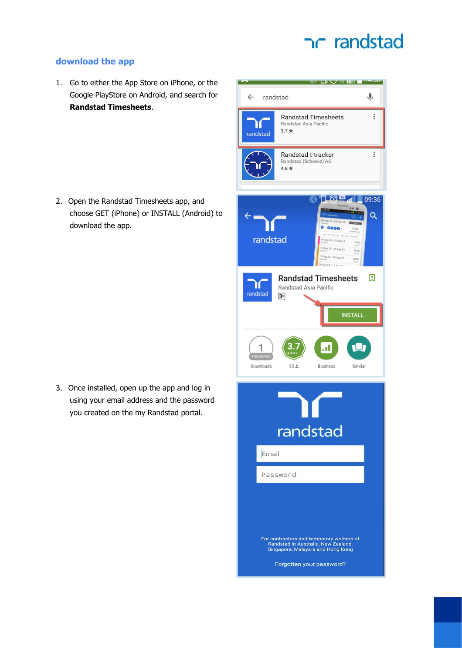#### **download the app**

1. Go to either the App Store on iPhone, or the Google PlayStore on Android, and search for **Randstad Timesheets**.

2. Open the Randstad Timesheets app, and choose GET (iPhone) or INSTALL (Android) to download the app.

3. Once installed, open up the app and log in using your email address and the password you created on the my Randstad portal.

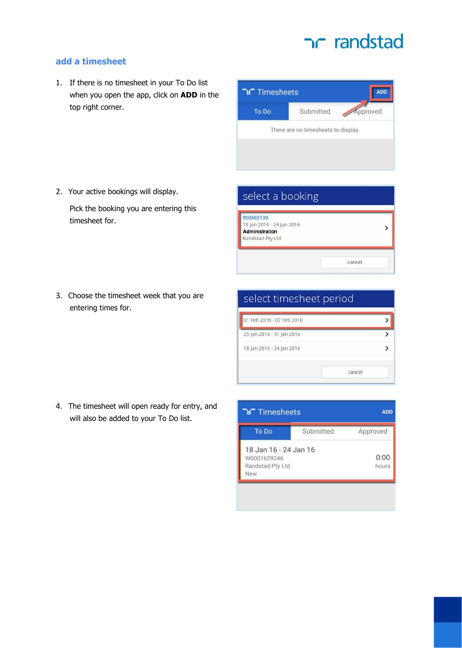ADD

Approved

### **add a timesheet**

1. If there is no timesheet in your To Do list when you open the app, click on **ADD** in the top right corner.



Pick the booking you are entering this timesheet for.

- 3. Choose the timesheet week that you are entering times for.
- select timesheet period 01 Feb 2016 - 07 Feb 2016  $\,$ 25 Jan 2016 - 31 Jan 2016  $\overline{\phantom{a}}$ 18 Jan 2016 - 24 Jan 2016  $\rightarrow$

cancel

4. The timesheet will open ready for entry, and will also be added to your To Do list.





Submitted

There are no timesheets to display.

Timesheets

To Do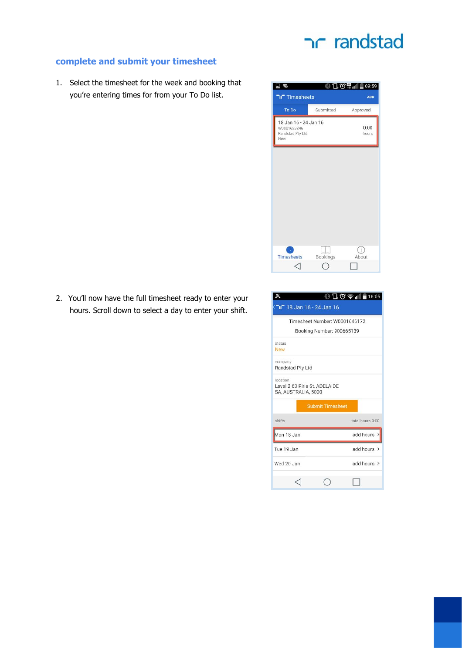#### **complete and submit your timesheet**

1. Select the timesheet for the week and booking that you're entering times for from your To Do list.



2. You'll now have the full timesheet ready to enter your hours. Scroll down to select a day to enter your shift.

|                                                                  |                               | $\Box$ ① $\widehat{\mathcal{P}}$ $\parallel$ $\parallel$ $\parallel$ 16:05 |
|------------------------------------------------------------------|-------------------------------|----------------------------------------------------------------------------|
| 16 - 18 Jan 16 - 24 Jan 16                                       |                               |                                                                            |
|                                                                  | Timesheet Number: W0001646172 |                                                                            |
|                                                                  | Booking Number: 900665139     |                                                                            |
| status                                                           |                               |                                                                            |
| <b>New</b>                                                       |                               |                                                                            |
| company<br>Randstad Pty Ltd                                      |                               |                                                                            |
| location<br>Level 2 63 Pirie St, ADELAIDE<br>SA, AUSTRALIA, 5000 |                               |                                                                            |
|                                                                  | <b>Submit Timesheet</b>       |                                                                            |
| shifts                                                           |                               | total hours 0:00                                                           |
| Mon 18 Jan                                                       |                               | add hours >                                                                |
| Tue 19 Jan                                                       |                               | add hours >                                                                |
| Wed 20 Jan                                                       |                               | add hours $\rightarrow$                                                    |
|                                                                  |                               |                                                                            |
|                                                                  |                               |                                                                            |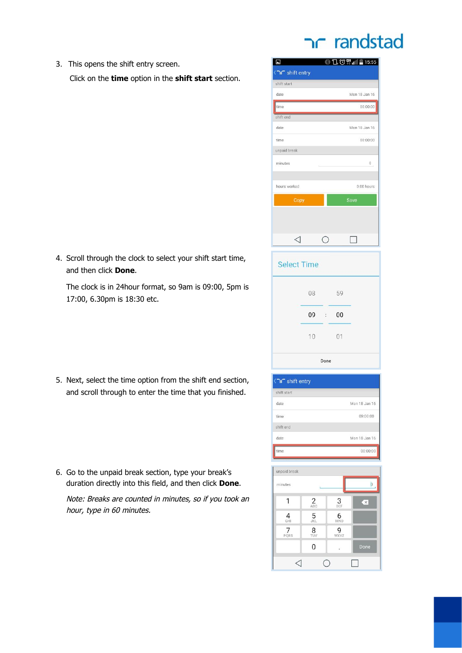### ר randstad

3. This opens the shift entry screen. Click on the **time**option in the **shift start**section.

4. Scroll through the clock to select your shift start time, and then click **Done**.

The clock is in 24hour format, so 9am is 09:00, 5pm is 17:00, 6.30pm is 18:30 etc.

- 5. Next, select the time option from the shift end section, and scroll through to enter the time that you finished.
- 
- 6. Go to the unpaid break section, type your break's duration directly into this field, and then click **Done**.

Note: Breaks are counted in minutes, so if you took an hour, type in 60 minutes.

| 2                  |                              |    | ◎10曾111115:55 |  |
|--------------------|------------------------------|----|---------------|--|
| shift entry        |                              |    |               |  |
| shift start        |                              |    |               |  |
| date               |                              |    | Mon 18 Jan 16 |  |
| time               |                              |    | 00:00:00      |  |
| shift end          |                              |    |               |  |
| date               |                              |    | Mon 18 Jan 16 |  |
| time               |                              |    | 00:00:00      |  |
| unpaid break       |                              |    |               |  |
| minutes            |                              |    | 0             |  |
|                    |                              |    |               |  |
| hours worked       |                              |    | 0:00 hours    |  |
| Copy               |                              |    | Save          |  |
|                    |                              |    |               |  |
|                    |                              |    |               |  |
| $\lhd$             | О                            |    | $\Box$        |  |
|                    |                              |    |               |  |
|                    |                              |    |               |  |
| <b>Select Time</b> |                              |    |               |  |
|                    |                              |    |               |  |
|                    | 08                           | 59 |               |  |
|                    | 09<br>$\ddot{\phantom{a}}$ : | 00 |               |  |
|                    |                              |    |               |  |
|                    | 10                           | 01 |               |  |
|                    | Done                         |    |               |  |



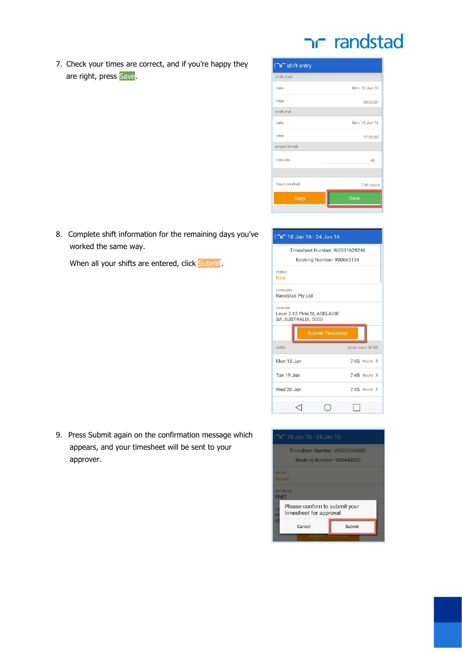7. Check your times are correct, and if you're happy they are right, press Save.

| shift entry  |               |
|--------------|---------------|
| shift start  |               |
| date         | Mon 18 Jan 16 |
| time.        | 09:00:00      |
| shift end    |               |
| date         | Mon 18 Jan 16 |
| time         | 17:30:00      |
| unpaid break |               |
| minutes      | 45            |
| hours worked | 7:45 hours    |
| Copy         | Save          |
|              |               |

8. Complete shift information for the remaining days you've worked the same way.

When all your shifts are entered, click Submit

|                                                      | Timesheet Number: W0001629246    |
|------------------------------------------------------|----------------------------------|
|                                                      | Booking Number: 900665139        |
| status                                               |                                  |
| <b>New</b>                                           |                                  |
| company<br>Randstad Pty Ltd                          |                                  |
|                                                      |                                  |
| location                                             |                                  |
| Level 2 63 Pirie St. ADELAIDE<br>SA, AUSTRALIA, 5000 |                                  |
|                                                      |                                  |
|                                                      |                                  |
|                                                      | <b>Submit Timesheet</b>          |
| shifts                                               | total hours 38:45                |
| Mon 18 Jan                                           | $7.45$ hours >                   |
|                                                      |                                  |
| Tue 19 Jan<br>Wed 20 Jan                             | $7:45$ hours ><br>$7.45$ hours > |

9. Press Submit again on the confirmation message which appears, and your timesheet will be sent to your approver.

|                        | 18 Jan 16 - 24 Jan 16                                   |                               |
|------------------------|---------------------------------------------------------|-------------------------------|
|                        |                                                         | Timesheet Number: W0000906051 |
| status<br>Saved        |                                                         | Booking Number: 900440800     |
| company<br><b>RMIT</b> |                                                         |                               |
| lo<br>P                | Please confirm to submit your<br>timesheet for approval |                               |
| $\overline{V}$         | Cancel                                                  | Submit                        |
|                        |                                                         |                               |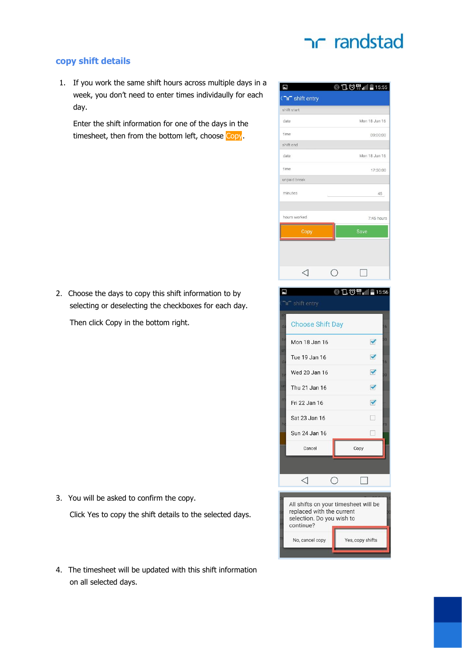### nr randstad

#### **copy shift details**

1. If you work the same shift hours across multiple days in a week, you don't need to enter times individaully for each day.

Enter the shift information for one of the days in the timesheet, then from the bottom left, choose Copy.

2. Choose the days to copy this shift information to by selecting or deselecting the checkboxes for each day.

Then click Copy in the bottom right.

- 3. You will be asked to confirm the copy. Click Yes to copy the shift details to the selected days.
- 4. The timesheet will be updated with this shift information on all selected days.

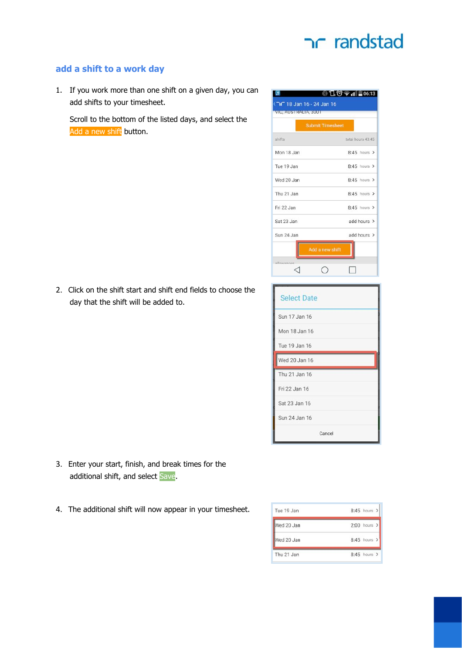

#### **add a shift to a work day**

1. If you work more than one shift on a given day, you can add shifts to your timesheet.

Scroll to the bottom of the listed days, and select the Add a new shift button.

2. Click on the shift start and shift end fields to choose the day that the shift will be added to.

|             | <b>Submit Timesheet</b> |                   |
|-------------|-------------------------|-------------------|
| shifts      |                         | total hours 43:45 |
| Mon 18 Jan  |                         | $8:45$ hours >    |
| Tue 19, Jan |                         | $8.45$ hours >    |
| Wed 20 Jan  |                         | $8:45$ hours $>$  |
| Thu 21 Jan  |                         | $8:45$ hours $>$  |
| Fri 22 Jan  |                         | $8:45$ hours >    |
| Sat 23 Jan  |                         | add hours >       |
| Sun 24 Jan  |                         | add hours >       |
|             | Add a new shift         |                   |

| <b>Select Date</b> |  |
|--------------------|--|
| Sun 17 Jan 16      |  |
| Mon 18 Jan 16      |  |
| Tue 19 Jan 16      |  |
| Wed 20 Jan 16      |  |
|                    |  |
| Thu 21 Jan 16      |  |
| Fri 22 Jan 16      |  |
| Sat 23 Jan 16      |  |
| Sun 24 Jan 16      |  |

- 3. Enter your start, finish, and break times for the additional shift, and select Save.
- 4. The additional shift will now appear in your timesheet.

| Tue 19 Jan | 8:45 hours >     |
|------------|------------------|
| Wed 20 Jan | $2:00$ hours >   |
| Wed 20 Jan | 8:45 hours >     |
| Thu 21 Jan | $8:45$ hours $>$ |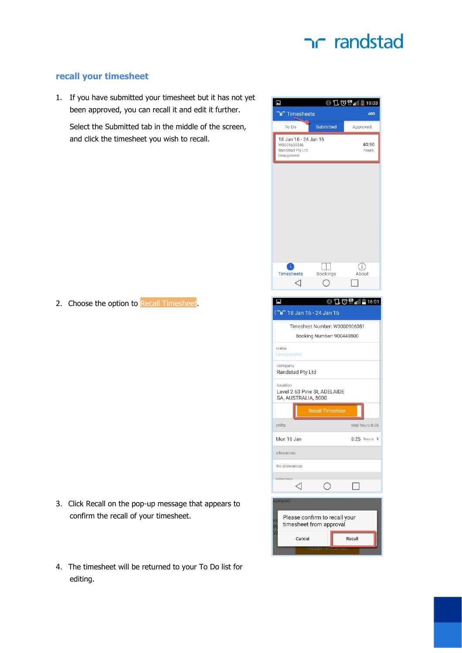#### **recall your timesheet**

1. If you have submitted your timesheet but it has not yet been approved, you can recall it and edit it further.

Select the Submitted tab in the middle of the screen, and click the timesheet you wish to recall.

2. Choose the option to Recall Timesheet.

- 3. Click Recall on the pop-up message that appears to confirm the recall of your timesheet.
- 4. The timesheet will be returned to your To Do list for editing.

| 7                                             |                       |                                                          | <b>©口①甲山</b> |                     |
|-----------------------------------------------|-----------------------|----------------------------------------------------------|--------------|---------------------|
| Timesheets                                    |                       |                                                          |              | 10:03<br><b>ADD</b> |
| To Do                                         |                       | Submitted                                                |              | Approved            |
| W0001629246<br>Randstad Pty Ltd<br>Unapproved | 18 Jan 16 - 24 Jan 16 |                                                          |              | 40:50<br>hours      |
|                                               |                       |                                                          |              |                     |
| <b>Timesheets</b>                             |                       | Bookings                                                 |              | (i<br>About         |
|                                               |                       |                                                          |              |                     |
| E)                                            |                       | 16 - 18 Jan 16 - 24 Jan 16                               | ◎10曾11111001 |                     |
|                                               |                       | Timesheet Number: W0000906051                            |              |                     |
|                                               |                       | Booking Number: 900440800                                |              |                     |
| status<br>Unapproved                          |                       |                                                          |              |                     |
| company<br>Randstad Pty Ltd                   |                       |                                                          |              |                     |
| location                                      |                       | Level 2 63 Pirie St, ADELAIDE<br>SA, AUSTRALIA, 5000     |              |                     |
|                                               |                       | <b>Recall Timesheet</b>                                  |              |                     |
| shifts                                        |                       |                                                          |              | total hours 8:25    |
| Mon 18 Jan                                    |                       |                                                          |              | $8:25$ hours >      |
| allowances                                    |                       |                                                          |              |                     |
| No allowances                                 |                       |                                                          |              |                     |
| expenses                                      |                       | О                                                        | $\Box$       |                     |
| company<br>lo<br>P                            |                       | Please confirm to recall your<br>timesheet from approval |              |                     |
|                                               | Cancel                |                                                          | Recall       |                     |
|                                               |                       |                                                          |              |                     |